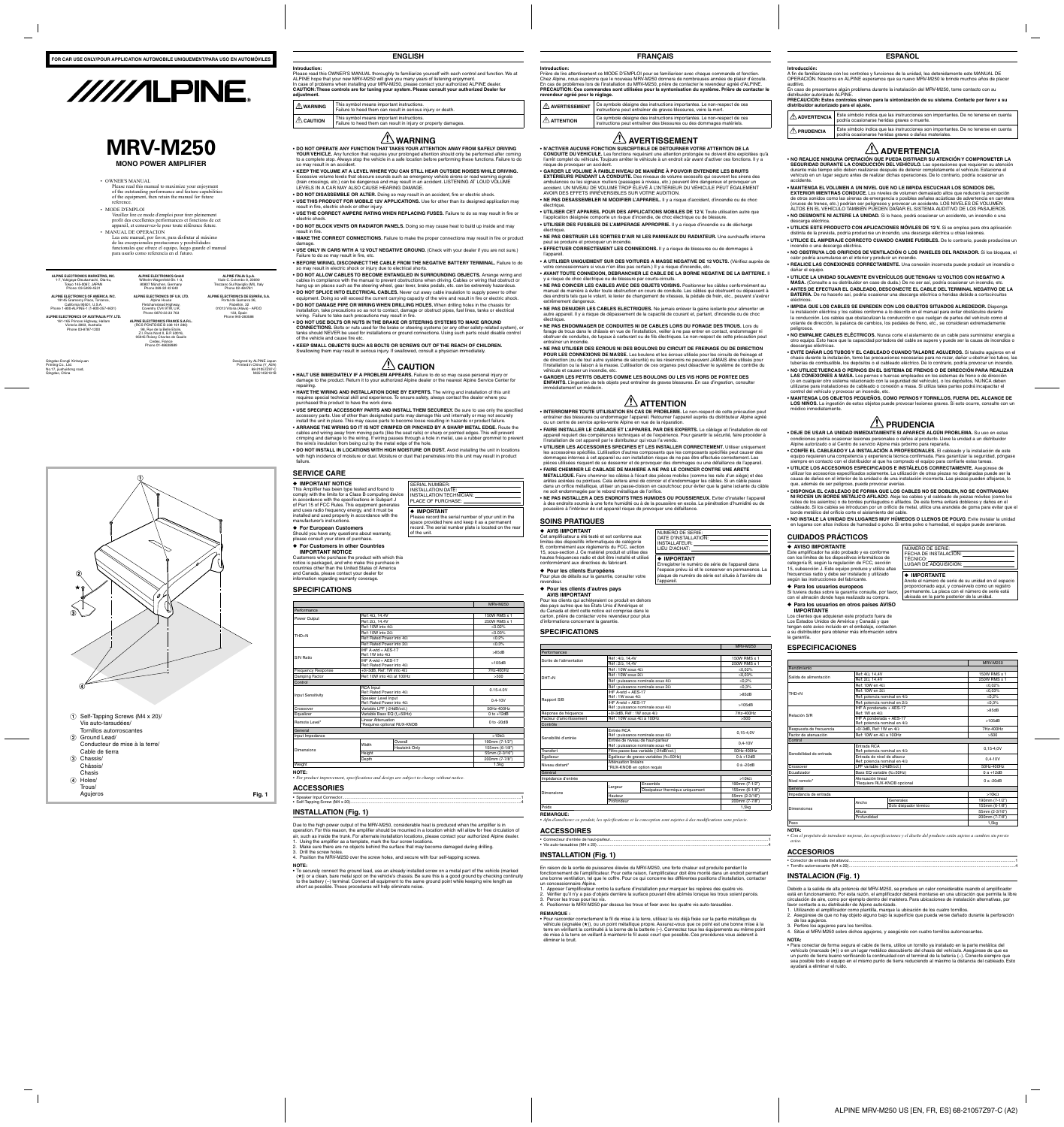

**ENGLISH**

# **Introduction:**

Please read this OWNER'S MANUAL thoroughly to familiarize yourself with each control and function. We at ALPINE hope that your new MRV-M250 will give you many years of listening enjoyment. In case of problems when installing your MRV-M250, please contact your authorized ALPINE dealer. **CAUTION: These controls are for tuning your system. Please consult your authorized Dealer for adjustment.**

**WARNING** This symbol means important instructions. Failure to heed them can result in serious injury or death.

**CAUTION** This symbol means important instructions.

Failure to heed them can result in injury or property damages.

# **WARNING**

**DO NOT OPERATE ANY FUNCTION THAT TAKES YOUR ATTENTION AWAY FROM SAFELY DRIVING •** YOUR VEHICLE. Any function that requires your prolonged attention should only be performed after coming to a complete stop. Always stop the vehicle in a safe location before performing these functions. Failure to do so may result in an accident.

**KEEP THE VOLUME AT A LEVEL WHERE YOU CAN STILL HEAR OUTSIDE NOISES WHILE DRIVING. •** Excessive volume levels that obscure sounds such as emergency vehicle sirens or road warning signals (train crossings, etc.) can be dangerous and may result in an accident. LISTENING AT LOUD VOLUME LEVELS IN A CAR MAY ALSO CAUSE HEARING DAMAGE.

**USE THIS PRODUCT FOR MOBILE 12V APPLICATIONS.** Use for other than its designed application may **•** result in fire, electric shock or other injury.

**USE THE CORRECT AMPERE RATING WHEN REPLACING FUSES.** Failure to do so may result in fire or **•** electric shock.

**DO NOT BLOCK VENTS OR RADIATOR PANELS.** Doing so may cause heat to build up inside and may **•** result in fire.

**MAKE THE CORRECT CONNECTIONS.** Failure to make the proper connections may result in fire or product **•** damage.

**USE ONLY IN CARS WITH A 12 VOLT NEGATIVE GROUND.** (Check with your dealer if you are not sure.) **•** Failure to do so may result in fire, etc.

**BEFORE WIRING, DISCONNECT THE CABLE FROM THE NEGATIVE BATTERY TERMINAL.** Failure to do **•** so may result in electric shock or injury due to electrical shorts.

**DO NOT ALLOW CABLES TO BECOME ENTANGLED IN SURROUNDING OBJECTS.** Arrange wiring and **•** cables in compliance with the manual to prevent obstructions when driving. Cables or wiring that obstruct or hang up on places such as the steering wheel, gear lever, brake pedals, etc. can be extremely hazardous. **DO NOT SPLICE INTO ELECTRICAL CABLES.** Never cut away cable insulation to supply power to other **•** equipment. Doing so will exceed the current carrying capacity of the wire and result in fire or electric shock.

**DO NOT DAMAGE PIPE OR WIRING WHEN DRILLING HOLES.** When drilling holes in the chassis for **•** installation, take precautions so as not to contact, damage or obstruct pipes, fuel lines, tanks or electrical wiring. Failure to take such precautions may result in fire.

**DO NOT USE BOLTS OR NUTS IN THE BRAKE OR STEERING SYSTEMS TO MAKE GROUND • CONNECTIONS.** Bolts or nuts used for the brake or steering systems (or any other safety-related system), or tanks should NEVER be used for installations or ground connections. Using such parts could disable control of the vehicle and cause fire etc.

**KEEP SMALL OBJECTS SUCH AS BOLTS OR SCREWS OUT OF THE REACH OF CHILDREN. •** Swallowing them may result in serious injury. If swallowed, consult a physician immediately.

# **ZIS** CAUTION

**HALT USE IMMEDIATELY IF A PROBLEM APPEARS.** Failure to do so may cause personal injury or **•** damage to the product. Return it to your authorized Alpine dealer or the nearest Alpine Service Center for repairing.

**HAVE THE WIRING AND INSTALLATION DONE BY EXPERTS.** The wiring and installation of this unit **•** requires special technical skill and experience. To ensure safety, always contact the dealer where you purchased this product to have the work done.

**USE SPECIFIED ACCESSORY PARTS AND INSTALL THEM SECURELY.** Be sure to use only the specified **•** accessory parts. Use of other than designated parts may damage this unit internally or may not securely install the unit in place. This may cause parts to become loose resulting in hazards or product failure.

• To securely connect the ground lead, use an already installed screw on a metal part of the vehicle (marked (★)) or a clean, bare metal spot on the vehicle's chassis. Be sure this is a good ground by checking continuity to the battery (–) terminal. Connect all equipment to the same ground point while keeping wire length as short as possible. These procedures will help eliminate noise.

**ARRANGE THE WIRING SO IT IS NOT CRIMPED OR PINCHED BY A SHARP METAL EDGE.** Route the **•** cables and wiring away from moving parts (like the seat rails) or sharp or pointed edges. This will prevent crimping and damage to the wiring. If wiring passes through a hole in metal, use a rubber grommet to prevent the wire's insulation from being cut by the metal edge of the hole.

**DO NOT INSTALL IN LOCATIONS WITH HIGH MOISTURE OR DUST.** Avoid installing the unit in locations **•** with high incidence of moisture or dust. Moisture or dust that penetrates into this unit may result in product failure.

# **SERVICE**

**DO NOT DISASSEMBLE OR ALTER.** Doing so may result in an accident, fire or electric shock. **•**

**UTILISER DES FUSIBLES DE L'AMPERAGE APPROPRIE.** Il y a risque d'incendie ou de décharge **•** électrique

Should you have any questions about warranty, please consult your store of purchase.

◆ For Europ

| <b>SERVICE CARE</b>                                                                                                                                                                                                                        |                                                                                                                                                                               |  |  |
|--------------------------------------------------------------------------------------------------------------------------------------------------------------------------------------------------------------------------------------------|-------------------------------------------------------------------------------------------------------------------------------------------------------------------------------|--|--|
| ♦ IMPORTANT NOTICE<br>This Amplifier has been type tested and found to<br>comply with the limits for a Class B computing device<br>in accordance with the specifications in Subpart J<br>of Part 15 of FCC Rules. This equipment generates | SERIAL NUMBER:<br>INSTALLATION DATE:<br>INSTALLATION TECHNICIAN:<br>PLACE OF PURCHASE:                                                                                        |  |  |
| and uses radio frequency energy, and it must be<br>installed and used properly in accordance with the<br>manufacturer's instructions.<br>♦ For European Customers                                                                          | ← IMPORTANT<br>Please record the serial number of your unit in the<br>space provided here and keep it as a permanent<br>record. The serial number plate is located on the rea |  |  |

**NE PAS DENUDER LES CABLES ELECTRIQUES.** Ne jamais enlever la gaine isolante pour alimenter un **•** autre appareil. Il y a risque de dépassement de la capacité de courant et, partant, d'incendie ou de choc électrique

◆ **For Customers in other Countries IMPORTANT NOTICE** Customers who purchase the product with which this notice is packaged, and who make this purchase in countries other than the United States of America and Canada, please contact your dealer for information regarding warranty coverage. **SPECIFICATIONS** Performance

of the unit.

MRV-M250

| Performance               |                                                        |                                  |                |
|---------------------------|--------------------------------------------------------|----------------------------------|----------------|
| Power Output              | Ref: $4\Omega$ , 14.4V                                 |                                  | 150W RMS x 1   |
|                           | Ref: $2\Omega$ , 14.4V                                 |                                  | 250W RMS x 1   |
|                           | Ref: 10W into $4\Omega$                                |                                  | < 0.02%        |
| THD+N                     | Ref: 10W into $2\Omega$                                |                                  | ≤0.03%         |
|                           |                                                        | Ref: Rated Power into $4\Omega$  | $< 0.2\%$      |
|                           |                                                        | Ref: Rated Power into 20         | $≤0.3%$        |
|                           | IHF A-wtd + AES-17<br>Ref: 1W into $4\Omega$           |                                  | >85dB          |
| S/N Ratio                 | IHF A-wtd + AES-17                                     | Ref: Rated Power into $4\Omega$  | >105dB         |
| <b>Frequency Response</b> |                                                        | +0/-3dB, Ref: 1W into $4\Omega$  | 7Hz-400Hz      |
| Damping Factor            |                                                        | Ref: 10W into $4\Omega$ at 100Hz | >500           |
| Control                   |                                                        |                                  |                |
| <b>Input Sensitivity</b>  | <b>RCA Input</b><br>Ref: Rated Power into $4\Omega$    |                                  | $0.15 - 4.0V$  |
|                           | Speaker Level Input<br>Ref: Rated Power into $4\Omega$ |                                  | $0.4 - 10V$    |
| Crossover                 | Variable LPF (-24dB/oct.)                              |                                  | 50Hz-400Hz     |
| Equalizer                 | Variable Bass EQ (f <sub>c</sub> =50Hz)                |                                  | $0$ to $+12dB$ |
| Remote Level*             | Linear Attenuation<br>*Requires optional RUX-KNOB      |                                  | $0$ to -20dB   |
| General                   |                                                        |                                  |                |
| Input Impedance           |                                                        |                                  | $>10k\Omega$   |
|                           | Width                                                  | Overall                          | 190mm (7-1/2") |
| Dimensions                |                                                        | <b>Heatsink Only</b>             | 155mm (6-1/8") |
|                           | Height                                                 |                                  | 55mm (2-3/16") |
|                           | Depth                                                  |                                  | 200mm (7-7/8") |
| Weight                    |                                                        | 1.5 <sub>kq</sub>                |                |

# **ACCESSORIES**

# **INSTALLATION (Fig. 1)**

Due to the high power output of the MRV-M250, considerable heat is produced when the amplifier is in

operation. For this reason, the amplifier should be mounted in a location which will allow for free circulation of air, such as inside the trunk. For alternate installation locations, please contact your authorized Alpine dealer. 1. Using the amplifier as a template, mark the four screw locations.

*For product improvement, specifications and design are subject to change without notice. •*

Speaker Input Connector ............................................................................................................................................................1 • Self-Tapping Screw (M4 x 20) .....................................................................................................................................................4 •

2. Make sure there are no objects behind the surface that may become damaged during drilling.

3. Drill the screw holes.

4. Position the MRV-M250 over the screw holes, and secure with four self-tapping screws.

### **NOTE:**

**FRANÇAIS**

### **Introduction:**

Prière de lire attentivement ce MODE D'EMPLOI pour se familiariser avec chaque commande et fonction. Chez Alpine, nous espérons que le nouveau MRV-M250 donnera de nombreuses années de plaisir d'écoute. En cas de problèmes lors de l'installation du MRV-M250, prière de contacter le revendeur agréé d'ALPINE. **PRECAUTION: Ces commandes sont utilisées pour la syntonisation du système. Prière de contacter le revendeur agréé pour le réglage.**

|                       | AVERTISSEMENT | Ce symbole désigne des instructions importantes. Le non-respect de ces<br>instructions peut entraîner de graves blessures, voire la mort.      |
|-----------------------|---------------|------------------------------------------------------------------------------------------------------------------------------------------------|
| $\triangle$ attention |               | Ce symbole désigne des instructions importantes. Le non-respect de ces<br>instructions peut entraîner des blessures ou des dommages matériels. |

# $! \Delta$  AVERTISSEMENT

**CONDUITE DU VEHICULE.** Les fonctions requérant une attention prolongée ne doivent être exploitées qu'à l'arrêt complet du véhicule. Toujours arrêter le véhicule à un endroit sûr avant d'activer ces fonctions. Il y a risque de provoquer un accident.

**GARDER LE VOLUME À FAIBLE NIVEAU DE MANIÈRE À POUVOIR ENTENDRE LES BRUITS • EXTÉRIEURS PENDANT LA CONDUITE.** Des niveaux de volume excessifs qui couvrent les sirens des

ambulances ou les signaux routiers (passages à niveau, etc.) peuvent être dangereux et provoquer un accident. UN NIVEAU DE VOLUME TROP ÉLEVÉ À L'INTÉRIEUR DU VÉHICULE PEUT ÉGALEMENT AVOIR DES EFFETS IRRÉVERSIBLES SUR VOTRE AUDITION.

**NE PAS DESASSEMBLER NI MODIFIER L'APPAREIL.** Il y a risque d'accident, d'incendie ou de choc **•** électrique.

**UTILISER CET APPAREIL POUR DES APPLICATIONS MOBILES DE 12 V.** Toute utilisation autre que **•** l'application désignée comporte un risque d'incendie, de choc électrique ou de blessure.

> **IMPIDA QUE LOS CABLES SE ENREDEN CON LOS OBJETOS SITUADOS ALREDEDOR.** Disponga **•** la instalación eléctrica y los cables conforme a lo descrito en el manual para evitar obstáculos durante la conducción. Los cables que obstaculizan la conducción o que cuelgan de partes del vehículo como el volante de dirección, la palanca de cambios, los pedales de freno, etc., se consideran extremadamente peligrosos

**NE PAS OBSTRUER LES SORTIES D'AIR NI LES PANNEAUX DU RADIATEUR.** Une surchauffe interne **•** peut se produire et provoquer un incendie.

**EFFECTUER CORRECTEMENT LES CONNEXIONS.** Il y a risque de blessures ou de dommages à **•** l'appareil.

**A UTILISER UNIQUEMENT SUR DES VOITURES A MASSE NEGATIVE DE 12 VOLTS.** (Vérifiez auprès de **•** votre concessionnaire si vous n'en êtes pas certain.) Il y a risque d'incendie, etc.

**AVANT TOUTE CONNEXION, DEBRANCHER LE CABLE DE LA BORNE NEGATIVE DE LA BATTERIE.** Il **•** y a risque de choc électrique ou de blessure par courts-circuits.

**NE PAS COINCER LES CABLES AVEC DES OBJETS VOISINS.** Positionner les câbles conformément au **•** manuel de manière à éviter toute obstruction en cours de conduite. Les câbles qui obstruent ou dépassent à des endroits tels que le volant, le levier de changement de vitesses, la pédale de frein, etc., peuvent s'avérer extrêmement dangereux.

> • CONFIE EL CABLEADO Y LA INSTALACION A PROFESIONALES. El cableado y la instalación de este equipo requieren una competencia y experiencia técnica confirmada. Para garantizar la seguridad, póngase siempre en contacto con el distribuidor al que ha comprado el equipo para confiarle estas tareas.

• UTILICE LOS ACCESORIOS ESPECIFICADOS E INSTALELOS CORRECTAMENTE. Asegúrese de utilizar los accesorios especificados solamente. La utilización de otras piezas no designadas puede ser la causa de daños en el interior de la unidad o de una instalación incorrecta. Las piezas pueden aflojarse, lo que, además de ser peligroso, puede provocar averías.

**NE PAS ENDOMMAGER DE CONDUITES NI DE CABLES LORS DU FORAGE DES TROUS.** Lors du **•** forage de trous dans le châssis en vue de l'installation, veiller à ne pas entrer en contact, endommager ni obstruer de conduites, de tuyaux à carburant ou de fils électriques. Le non-respect de cette précaution peut entraîner un incendie.

**NE PAS UTILISER DES ECROUS NI DES BOULONS DU CIRCUIT DE FREINAGE OU DE DIRECTION • POUR LES CONNEXIONS DE MASSE.** Les boulons et les écrous utilisés pour les circuits de freinage et de direction (ou de tout autre système de sécurité) ou les réservoirs ne peuvent JAMAIS être utilisés pour l'installation ou la liaison à la masse. L'utilisation de ces organes peut désactiver le système de contrôle du véhicule et causer un incendie, etc.

**GARDER LES PETITS OBJETS COMME LES BOULONS OU LES VIS HORS DE PORTEE DES • ENFANTS.** L'ingestion de tels objets peut entraîner de graves blessures. En cas d'ingestion, consulter immédiatement un médecin.

# **ATTENTION**

**INTERROMPRE TOUTE UTILISATION EN CAS DE PROBLEME.** Le non-respect de cette précaution peut **•** entraîner des blessures ou endommager l'appareil. Retourner l'appareil auprès du distributeur Alpine agréé ou un centre de service après-vente Alpine en vue de la réparation.

**FAIRE INSTALLER LE CABLAGE ET L'APPAREIL PAR DES EXPERTS.** Le câblage et l'installation de cet **•** appareil requiert des compétences techniques et de l'expérience. Pour garantir la sécurité, faire procéder à l'installation de cet appareil par le distributeur qui vous l'a vendu.

**UTILISER LES ACCESSOIRES SPECIFIES ET LES INSTALLER CORRECTEMENT.** Utiliser uniquement **•** les accessoires spécifiés. L'utilisation d'autres composants que les composants spécifiés peut causer des dommages internes à cet appareil ou son installation risque de ne pas être effectuée correctement. Les pièces utilisées risquent de se desserrer et de provoquer des dommages ou une défaillance de l'appareil.

### **N'ACTIVER AUCUNE FONCTION SUSCEPTIBLE DE DETOURNER VOTRE ATTENTION DE LA •**

**FAIRE CHEMINER LE CABLAGE DE MANIERE A NE PAS LE COINCER CONTRE UNE ARETE • METALLIQUE.** Faire cheminer les câbles à l'écart des pièces mobiles (comme les rails d'un siège) et des arêtes acérées ou pointues. Cela évitera ainsi de coincer et d'endommager les câbles. Si un câble passe dans un orifice métallique, utiliser un passe-cloison en caoutchouc pour éviter que la gaine isolante du câble ne soit endommagée par le rebord métallique de l'orifice.

**NE PAS INSTALLER A DES ENDROITS TRES HUMIDES OU POUSSIEREUX.** Eviter d'installer l'appareil **•** à des endroits soumis à une forte humidité ou à de la poussière en excès. La pénétration d'humidité ou de poussière à l'intérieur de cet appareil risque de provoquer une défaillance.

# **SOINS PRATIQUES**

• MANUAL DE OPERACION Lea este manual, por favor, para disfrutar al máximo de las excepcionales prestaciones y posibilidades funcionales que ofrece el equipo, luego guarde el manual para usarlo como referencia en el futuro.

> ◆ **AVIS IMPORTANT** Cet amplificateur a été testé et est conforme aux limites des dispositifs informatiques de catégorie B, conformément aux règlements du FCC, section 15, sous-section J. Ce matériel produit et utilise des hautes fréquences radio et doit être installé et utilisé conformément aux directives du fabricant. ◆ **Pour les clients Européens** Pour plus de détails sur la garantie, consulter votre revendeur.

## ◆ **Pour les clients d'autres pays**

**AVIS IMPORTANT** Pour les clients qui achèteraient ce produit en dehors des pays autres que les États Unis d'Amérique et du Canada et dont cette notice est comprise dans le carton, prière de contacter votre revendeur pour plus d'informations concernant la garantie.

Designed by ALPINE Japan Printed in China (Y\_A2A) 68-21057Z97-C

gdao Dongli Xinhaiyua Printing Co., Ltd. No.17, jiushuidong road, Qingdao, China

> NUMERO DE SERIE: DATE D'INSTALLATION: INSTALLATEUR<sup>.</sup> LIEU D'ACHAT: ◆ **IMPORTANT**

Enregistrer le numéro de série de l'appareil dans l'espace prévu ici et le conserver en permanence. La plaque de numéro de série est située à l'arrière de

l'appareil.

# **SPECIFICATIONS**

|                          |                                                                             |                                         | <b>MRV-M250</b> |
|--------------------------|-----------------------------------------------------------------------------|-----------------------------------------|-----------------|
| Performances             |                                                                             |                                         |                 |
|                          | $\mathsf{R\acute{e}f}: 4\Omega, 14,4V$                                      |                                         | 150W RMS x 1    |
| Sortie de l'alimentation | $Réf: 2\Omega$ , 14,4V                                                      |                                         | 250W RMS x 1    |
|                          | $Réf : 10W$ sous $4\Omega$                                                  |                                         | ≤0.02%          |
| DHT+N                    | $R\acute{e}f$ : 10W sous 2O                                                 |                                         | $\leq 0.03\%$   |
|                          |                                                                             | Réf : puissance nominale sous $4\Omega$ | $≤0.2%$         |
|                          |                                                                             | Réf : puissance nominale sous $2\Omega$ | $\leq 0.3\%$    |
|                          | IHF A-wtd + AES-17<br>$Réf : 1W$ sous $4O$                                  |                                         | $>85$ d $B$     |
| Rapport S/B              | IHF A-wtd + AES-17                                                          | Réf : puissance nominale sous $4\Omega$ | $>105$ d $B$    |
| Réponse de fréquence     |                                                                             | +0/-3dB. Réf : 1W sous $4\Omega$        | 7Hz-400Hz       |
| Facteur d'amortissement  |                                                                             | $Réf : 10W$ sous $4\Omega$ à 100Hz      | >500            |
| Contrôle                 |                                                                             |                                         |                 |
|                          | Entrée RCA<br>Réf : puissance nominale sous $4\Omega$                       |                                         | $0.15 - 4.0V$   |
| Sensibilité d'entrée     | Entrée de niveau de haut-parleur<br>Réf : puissance nominale sous $4\Omega$ |                                         | $0.4 - 10V$     |
| Transfert                | Filtre passe-bas variable (-24dB/oct.)                                      |                                         | 50Hz-400Hz      |
| Égaliseur                | Égaliseur de graves variables (fc=50Hz)                                     |                                         | $0$ à $+12dB$   |
| Niveau distant*          | Atténuation linéaire<br>*RUX-KNOB en option requis                          |                                         | $0$ à -20dB     |
| Général                  |                                                                             |                                         |                 |
| Impédance d'entrée       |                                                                             |                                         | $>10k\Omega$    |
|                          |                                                                             | <b>Fnsemble</b>                         | 190mm (7-1/2")  |
| Dimensions               | Largeur                                                                     | Dissipateur thermique uniquement        | 155mm (6-1/8")  |
|                          | Hauteur                                                                     |                                         | 55mm (2-3/16")  |
|                          | Profondeur                                                                  |                                         | 200mm (7-7/8")  |
| Poids                    |                                                                             | 1,5kq                                   |                 |

### **ACCESSOIRES**

# **INSTALLATION (Fig. 1)**

En raison de la sortie de puissance élevée du MRV-M250, une forte chaleur est produite pendant le fonctionnement de l'amplificateur. Pour cette raison, l'amplificateur doit être monté dans un endroit permettant une bonne ventilation, tel que le coffre. Pour ce qui concerne les différentes positions d'installation, contacter un concessionnaire Alpine.

*Afin d'améliorer ce produit, les spécifications et la conception sont sujettes à des modifications sans préavis. •*

Connecteur d'entrée de haut-parleur ..........................................................................................................................................1 •

Vis auto-taraudées (M4 x 20) .....................................................................................................................................................4 •

- 1. Apposer l'amplificateur contre la surface d'installation pour marquer les repères des quatre vis. 2. Vérifier qu'il n'y a pas d'objets derrière la surface pouvant être abîmés lorsque les trous soient percés.
- 3. Percer les trous pour les vis.
- 4. Positionner le MRV-M250 par dessus les trous et fixer avec les quatre vis auto-taraudées.

### **REMARQUE :**

Pour raccorder correctement le fil de mise à la terre, utilisez la vis déjà fixée sur la partie métallique du • véhicule (signalée (★)), ou un point métallique propre. Assurez-vous que ce point est une bonne mise à la terre en vérifiant la continuité à la borne de la batterie (–). Connectez tous les équipements au même point de mise à la terre en veillant à maintenir le fil aussi court que possible. Ces procédures vous aideront à éliminer le bruit.

## **ESPAÑOL**

### **Introducción:**

A fin de familiarizarse con los controles y funciones de la unidad, lea detenidamente este MANUAL DE OPERACIÓN. Nosotros en ALPINE esperamos que su nuevo MRV-M250 le brinde muchos años de placer auditivo.

En caso de presentarse algún problema durante la instalación del MRV-M250, tome contacto con su distribuidor autorizado ALPINE.

**PRECAUCION: Estos controles sirven para la sintonización de su sistema. Contacte por favor a su distribuidor autorizado para el ajuste.**

| $\triangle$ ADVERTENCIA | Este símbolo indica que las instrucciones son importantes. De no tenerse en cuenta<br>podría ocasionarse heridas graves o muerte.           |
|-------------------------|---------------------------------------------------------------------------------------------------------------------------------------------|
| $\triangle$ PRUDENCIA   | Este símbolo indica que las instrucciones son importantes. De no tenerse en cuenta<br>podría ocasionarse heridas graves o daños materiales. |

# **ADVERTENCIA**

**NO REALICE NINGUNA OPERACIÓN QUE PUEDA DISTRAER SU ATENCIÓN Y COMPROMETER LA • SEGURIDAD DURANTE LA CONDUCCIÓN DEL VEHÍCULO.** Las operaciones que requieren su atención durante más tiempo sólo deben realizarse después de detener completamente el vehículo. Estacione el vehículo en un lugar seguro antes de realizar dichas operaciones. De lo contrario, podría ocasionar un accidente.

**MANTENGA EL VOLUMEN A UN NIVEL QUE NO LE IMPIDA ESCUCHAR LOS SONIDOS DEL • EXTERIOR MIENTRAS CONDUCE.** Los niveles de volumen demasiado altos que reducen la percepción de otros sonidos como las sirenas de emergencia o posibles señales acústicas de advertencia en carretera (cruces de trenes, etc.) podrían ser peligrosos y provocar un accidente. LOS NIVELES DE VOLUMEN ALTOS EN EL VEHÍCULO TAMBIÉN PUEDEN DAÑAR EL SISTEMA AUDITIVO DE LOS PASAJEROS.

**NO DESMONTE NI ALTERE LA UNIDAD.** Si lo hace, podrá ocasionar un accidente, un incendio o una **•** descarga eléctrica.

**UTILICE ESTE PRODUCTO CON APLICACIONES MÓVILES DE 12 V.** Si se emplea para otra aplicación **•** distinta de la prevista, podría producirse un incendio, una descarga eléctrica u otras lesiones.

**UTILICE EL AMPERAJE CORRECTO CUANDO CAMBIE FUSIBLES.** De lo contrario, puede producirse un **•** incendio o una descarga eléctrica.

**NO OBSTRUYA LOS ORIFICIOS DE VENTILACIÓN O LOS PANELES DEL RADIADOR.** Si los bloquea, el **•** calor podría acumularse en el interior y producir un incendio.

**REALICE LAS CONEXIONES CORRECTAMENTE.** Una conexión incorrecta puede producir un incendio o **•** dañar el equipo.

**UTILICE LA UNIDAD SOLAMENTE EN VEHÍCULOS QUE TENGAN 12 VOLTIOS CON NEGATIVO A • MASA.** (Consulte a su distribuidor en caso de duda.) De no ser así, podría ocasionar un incendio, etc. **ANTES DE EFECTUAR EL CABLEADO, DESCONECTE EL CABLE DEL TERMINAL NEGATIVO DE LA • BATERÍA.** De no hacerlo así, podría ocasionar una descarga eléctrica o heridas debido a cortocircuitos eléctricos.

**NO EMPALME CABLES ELÉCTRICOS.** Nunca corte el aislamiento de un cable para suministrar energía a **•** otro equipo. Esto hace que la capacidad portadora del cable se supere y puede ser la causa de incendios o descargas eléctricas.

**LAS CONEXIONES A MASA.** Los pernos o tuercas empleados en los sistemas de freno o de dirección (o en cualquier otro sistema relacionado con la seguridad del vehículo), o los depósitos, NUNCA deben utilizarse para instalaciones de cableado o conexión a masa. Si utiliza tales partes podrá incapacitar el control del vehículo y provocar un incendio, etc.

**MANTENGA LOS OBJETOS PEQUEÑOS, COMO PERNOS Y TORNILLOS, FUERA DEL ALCANCE DE • LOS NIÑOS.** La ingestión de estos objetos puede provocar lesiones graves. Si esto ocurre, consulte con un médico inmediatamente.

# **All PRUDENCIA**

**DEJE DE USAR LA UNIDAD INMEDIATAMENTE SI APARECE ALGÚN PROBLEMA.** Su uso en estas **•** condiciones podría ocasionar lesiones personales o daños al producto. Lleve la unidad a un distribuidor Alpine autorizado o al Centro de servicio Alpine más próximo para repararla.

**DISPONGA EL CABLEADO DE FORMA QUE LOS CABLES NO SE DOBLEN, NO SE CONTRAIGAN • NI ROCEN UN BORDE METÁLICO AFILADO**. Aleje los cables y el cableado de piezas móviles (como los raíles de los asientos) o de bordes puntiagudos o afilados. De esta forma evitará dobleces y daños en el cableado. Si los cables se introducen por un orificio de metal, utilice una arandela de goma para evitar que el borde metálico del orificio corte el aislamiento del cable.

**NO INSTALE LA UNIDAD EN LUGARES MUY HÚMEDOS O LLENOS DE POLVO.** Evite instalar la unidad **•** en lugares con altos índices de humedad o polvo. Si entra polvo o humedad, el equipo puede averiarse.

# **CUIDADOS PRÁCTICOS**

◆ **AVISO IMPORTANTE** Este amplificador ha sido probado y es conforme con los límites de los dispositivos informáticos de categoría B, según la regulación de FCC, sección 15, subsección J. Este equipo produce y utiliza altas frecuencias radio y debe ser instalado y utilizado según las instrucciones del fabricante. ◆ **Para los usuarios europeos**

con el almacén donde haya realizado su compra.

### ◆ **Para los usuarios en otros países AVISO IMPORTANTE**

**EVITE DAÑAR LOS TUBOS Y EL CABLEADO CUANDO TALADRE AGUJEROS.** Si taladra agujeros en el **•** chasis durante la instalación, tome las precauciones necesarias para no rozar, dañar u obstruir los tubos, las tuberías de combustible, los depósitos o el cableado eléctrico. De lo contrario, podría provocar un incendio. **NO UTILICE TUERCAS O PERNOS EN EL SISTEMA DE FRENOS O DE DIRECCIÓN PARA REALIZAR •**

Los clientes que adquieran este producto fuera de Los Estados Unidos de América y Canadá y que tengan este aviso incluido en el embalaje, contacten a su distribuidor para obtener más información sobre la garantía.

Si tuviera dudas sobre la garantía consulte, por favor, proporcionado aquí, y consérvelo como un registro permanente. La placa con el número de serie está ubicada en la parte posterior de la unidad.

NÚMERO DE SERIE:

FECHA DE INSTALACIÓN: TÉCNICO: LUGAR DE ADQUISICIÓN: ◆ **IMPORTANTE** Anote el número de serie de su unidad en el espacio

## **ESPECIFICACIONES**

|                         |                                                                   |                                     | <b>MRV-M250</b> |
|-------------------------|-------------------------------------------------------------------|-------------------------------------|-----------------|
| Rendimiento             |                                                                   |                                     |                 |
|                         | Ref: $4\Omega$ , 14, 4V                                           |                                     | 150W RMS x 1    |
| Salida de alimentación  | Ref: $2\Omega$ , 14,4V                                            |                                     | 250W RMS x 1    |
|                         | Ref: 10W en $4\Omega$                                             |                                     | ≤0,02%          |
|                         | Ref: 10W en $2\Omega$                                             |                                     | ≤0,03%          |
| THD+N                   |                                                                   | Ref: potencia nominal en $4\Omega$  | ≤0,2%           |
|                         |                                                                   | Ref: potencia nominal en 2 $\Omega$ | ≤0,3%           |
| Relación S/R            | Ref: 1W en $4\Omega$                                              | IHF A ponderada + AES-17            | >85dB           |
|                         | IHF A ponderada + AES-17<br>Ref: potencia nominal en $4\Omega$    |                                     | >105dB          |
| Respuesta de frecuencia | +0/-3dB, Ref: 1W en $4\Omega$                                     |                                     | 7Hz-400Hz       |
| Factor de atenuación    | Ref: 10W en $4\Omega$ a 100Hz                                     |                                     | >500            |
| Control                 |                                                                   |                                     |                 |
|                         | Entrada RCA<br>Ref: potencia nominal en $4\Omega$                 |                                     | $0, 15 - 4, 0V$ |
| Sensibilidad de entrada | Entrada de nivel de altavoz<br>Ref: potencia nominal en $4\Omega$ |                                     | $0.4 - 10V$     |
| Crossover               | LPF variable (-24dB/oct.)                                         |                                     | 50Hz-400Hz      |
| Ecualizador             | Bass EQ variable (fc=50Hz)                                        |                                     | $0a + 12dB$     |
| Nivel remoto*           | Atenuación lineal<br>*Requiere RUX-KNOB opcional                  |                                     | $0a - 20dB$     |
| General                 |                                                                   |                                     |                 |
| Impedancia de entrada   |                                                                   |                                     | $>10k\Omega$    |
|                         | Ancho                                                             | Generales                           | 190mm (7-1/2")  |
| Dimensiones             |                                                                   | Solo disipador térmico              | 155mm (6-1/8")  |
|                         | Altura                                                            |                                     | 55mm (2-3/16")  |
|                         | Profundidad                                                       |                                     | 200mm (7-7/8")  |
| Peso                    |                                                                   | 1.5 <sub>k</sub>                    |                 |

### **NOTA:**

*Con el propósito de introducir mejoras, las especificaciones y el diseño del producto están sujetos a cambios sin previo • aviso.*

## **ACCESORIOS**

# **INSTALACION (Fig. 1)**

Debido a la salida de alta potencia del MRV-M250, se produce un calor considerable cuando el amplificador está en funcionamiento. Por esta razón, el amplificador deberá montarse en una ubicación que permita la libre circulación de aire, como por ejemplo dentro del maletero. Para ubicaciones de instalación alternativas, por favor contacte a su distribuidor de Alpine autorizado.

Conector de entrada del altavoz .................................................................................................................................................1 • Tornillo autorroscante (M4 x 20) .................................................................................................................................................4 •

- 1. Utilizando el amplificador como plantilla, marque la ubicación de los cuatro tornillos.
- 2. Asegúrese de que no hay objeto alguno bajo la superficie que pueda verse dañado durante la perforación de los agujeros.
- 3. Perfore los agujeros para los tornillos.
- 4. Sitúe el MRV-M250 sobre dichos agujeros, y asegúrelo con cuatro tornillos autorroscantes.

### **NOTA:**

Para conectar de forma segura el cable de tierra, utilice un tornillo ya instalado en la parte metálica del • vehículo (marcado (★)) o en un lugar metálico descubierto del chasis del vehículo. Asegúrese de que es un punto de tierra bueno verificando la continuidad con el terminal de la batería (–). Conecte siempre que sea posible todo el equipo en el mismo punto de tierra reduciendo al máximo la distancia del cableado. Esto ayudará a eliminar el ruido.

**Fig. 1**

Please read this manual to maximize your enjoyment of the outstanding performance and feature capabilities of the equipment, then retain the manual for future reference.

• MODE D'EMPLOI

Veuillez lire ce mode d'emploi pour tirer pleinement profit des excellentes performances et fonctions de cet appareil, et conservez-le pour toute référence future.

## **MONO POWER AMPLIFIER**

### • OWNER'S MANUAL

# **MRV-M250**

| ALPINE ELECTRONICS MARKETING, INC.        | <b>ALPINE ELECTRONICS GmbH</b>     | ALPINE ITALIA S.p.A.               |
|-------------------------------------------|------------------------------------|------------------------------------|
| 1-7, Yukigaya-Otsukamachi, Ota-ku,        | Wilhelm-Wagenfeld-Str. 1-3,        | Viale C. Colombo 8, 20090          |
| Tokyo 145-0067, JAPAN                     | 80807 München, Germany             | Trezzano Sul Naviglio (MI), Italy  |
| Phone: 03-5499-4531                       | Phone 089-32 42 640                | Phone 02-484781                    |
| ALPINE ELECTRONICS OF AMERICA, INC.       | ALPINE ELECTRONICS OF U.K. LTD.    | ALPINE ELECTRONICS DE ESPAÑA, S.A. |
| 19145 Gramercy Place, Torrance,           | Alpine House                       | Portal de Gamarra 36.              |
| California 90501, U.S.A.                  | Fletchamstead Highway,             | Pabellón, 32                       |
| Phone 1-800-ALPINE-1 (1-800-257-4631)     | Coventry CV4 9TW, U.K.             | 01013 Vitoria (Alava) - APDO       |
|                                           | Phone 0870-33 33 763               | 133, Spain                         |
| ALPINE ELECTRONICS OF AUSTRALIA PTY. LTD. |                                    | Phone 945-283588                   |
| 161-165 Princes Highway, Hallam           | ALPINE ELECTRONICS FRANCE S.A.R.L. |                                    |
| Victoria 3803, Australia                  | (RCS PONTOISE B 338 101 280)       |                                    |
| Phone 03-8787-1200                        | 98. Rue de la Belle Etoile.        |                                    |

98, Rue de la Belle Etoile, Z.I. Paris Nord II, B.P. 50016, 95945 Roissy Charles de Gaulle

Cedex, France Phone 01-48638989

### **FOR CAR USE ONLY/POUR APPLICATION AUTOMOBILE UNIQUEMENT/PARA USO EN AUTOMÓVILES**



M351450101B



Cable de tierra 3 Chassis/ Châssis/ Chasis (4) Holes/ Trous/ Agujeros